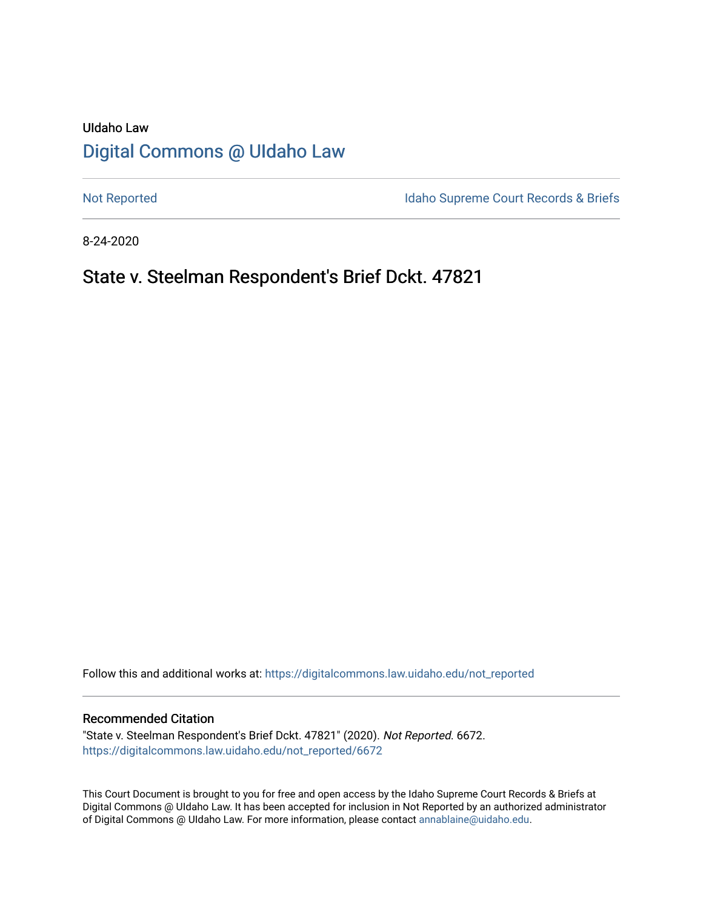# UIdaho Law [Digital Commons @ UIdaho Law](https://digitalcommons.law.uidaho.edu/)

[Not Reported](https://digitalcommons.law.uidaho.edu/not_reported) **Idaho Supreme Court Records & Briefs** 

8-24-2020

# State v. Steelman Respondent's Brief Dckt. 47821

Follow this and additional works at: [https://digitalcommons.law.uidaho.edu/not\\_reported](https://digitalcommons.law.uidaho.edu/not_reported?utm_source=digitalcommons.law.uidaho.edu%2Fnot_reported%2F6672&utm_medium=PDF&utm_campaign=PDFCoverPages) 

#### Recommended Citation

"State v. Steelman Respondent's Brief Dckt. 47821" (2020). Not Reported. 6672. [https://digitalcommons.law.uidaho.edu/not\\_reported/6672](https://digitalcommons.law.uidaho.edu/not_reported/6672?utm_source=digitalcommons.law.uidaho.edu%2Fnot_reported%2F6672&utm_medium=PDF&utm_campaign=PDFCoverPages)

This Court Document is brought to you for free and open access by the Idaho Supreme Court Records & Briefs at Digital Commons @ UIdaho Law. It has been accepted for inclusion in Not Reported by an authorized administrator of Digital Commons @ UIdaho Law. For more information, please contact [annablaine@uidaho.edu](mailto:annablaine@uidaho.edu).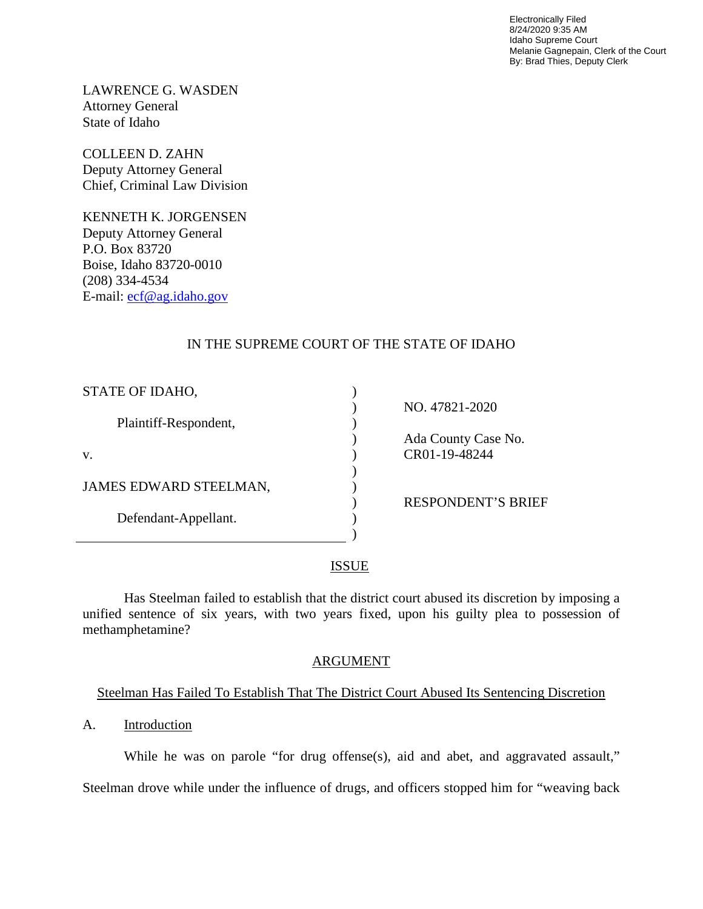Electronically Filed 8/24/2020 9:35 AM Idaho Supreme Court Melanie Gagnepain, Clerk of the Court By: Brad Thies, Deputy Clerk

LAWRENCE G. WASDEN Attorney General State of Idaho

COLLEEN D. ZAHN Deputy Attorney General Chief, Criminal Law Division

KENNETH K. JORGENSEN Deputy Attorney General P.O. Box 83720 Boise, Idaho 83720-0010 (208) 334-4534 E-mail: [ecf@ag.idaho.gov](mailto:ecf@ag.idaho.gov) 

## IN THE SUPREME COURT OF THE STATE OF IDAHO

| STATE OF IDAHO,        |                           |
|------------------------|---------------------------|
|                        | NO. 47821-2020            |
| Plaintiff-Respondent,  |                           |
|                        | Ada County Case No.       |
| v.                     | CR01-19-48244             |
|                        |                           |
| JAMES EDWARD STEELMAN, |                           |
|                        | <b>RESPONDENT'S BRIEF</b> |
| Defendant-Appellant.   |                           |
|                        |                           |

#### ISSUE

Has Steelman failed to establish that the district court abused its discretion by imposing a unified sentence of six years, with two years fixed, upon his guilty plea to possession of methamphetamine?

#### ARGUMENT

## Steelman Has Failed To Establish That The District Court Abused Its Sentencing Discretion

A. Introduction

While he was on parole "for drug offense(s), aid and abet, and aggravated assault,"

Steelman drove while under the influence of drugs, and officers stopped him for "weaving back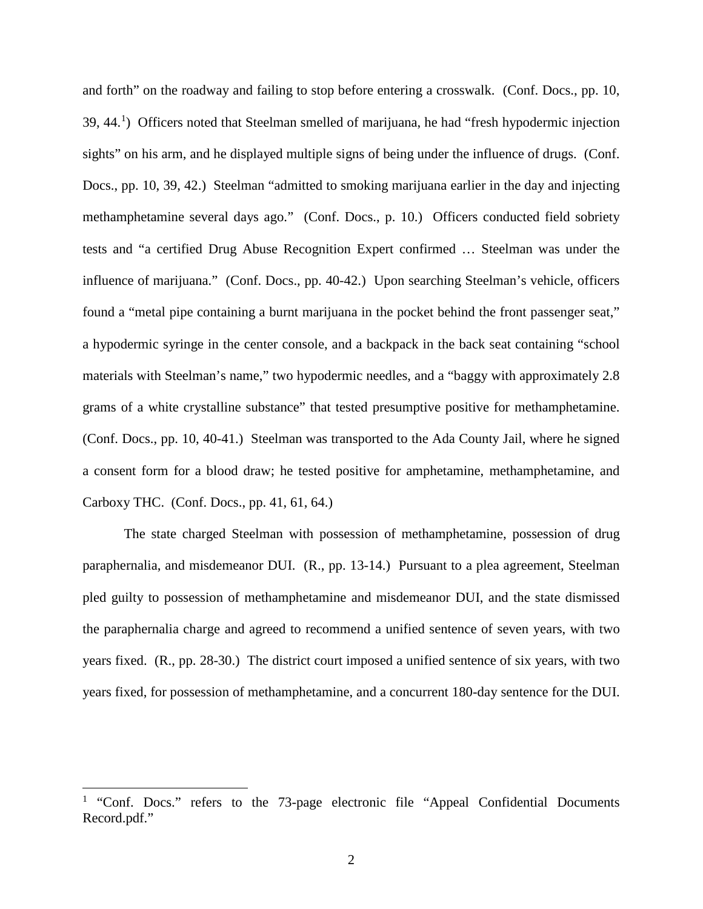and forth" on the roadway and failing to stop before entering a crosswalk. (Conf. Docs., pp. 10, 39, 44.<sup>[1](#page-2-0)</sup>) Officers noted that Steelman smelled of marijuana, he had "fresh hypodermic injection sights" on his arm, and he displayed multiple signs of being under the influence of drugs. (Conf. Docs., pp. 10, 39, 42.) Steelman "admitted to smoking marijuana earlier in the day and injecting methamphetamine several days ago." (Conf. Docs., p. 10.) Officers conducted field sobriety tests and "a certified Drug Abuse Recognition Expert confirmed … Steelman was under the influence of marijuana." (Conf. Docs., pp. 40-42.) Upon searching Steelman's vehicle, officers found a "metal pipe containing a burnt marijuana in the pocket behind the front passenger seat," a hypodermic syringe in the center console, and a backpack in the back seat containing "school materials with Steelman's name," two hypodermic needles, and a "baggy with approximately 2.8 grams of a white crystalline substance" that tested presumptive positive for methamphetamine. (Conf. Docs., pp. 10, 40-41.) Steelman was transported to the Ada County Jail, where he signed a consent form for a blood draw; he tested positive for amphetamine, methamphetamine, and Carboxy THC. (Conf. Docs., pp. 41, 61, 64.)

The state charged Steelman with possession of methamphetamine, possession of drug paraphernalia, and misdemeanor DUI. (R., pp. 13-14.) Pursuant to a plea agreement, Steelman pled guilty to possession of methamphetamine and misdemeanor DUI, and the state dismissed the paraphernalia charge and agreed to recommend a unified sentence of seven years, with two years fixed. (R., pp. 28-30.) The district court imposed a unified sentence of six years, with two years fixed, for possession of methamphetamine, and a concurrent 180-day sentence for the DUI.

 $\overline{a}$ 

<span id="page-2-0"></span><sup>&</sup>lt;sup>1</sup> "Conf. Docs." refers to the 73-page electronic file "Appeal Confidential Documents" Record.pdf."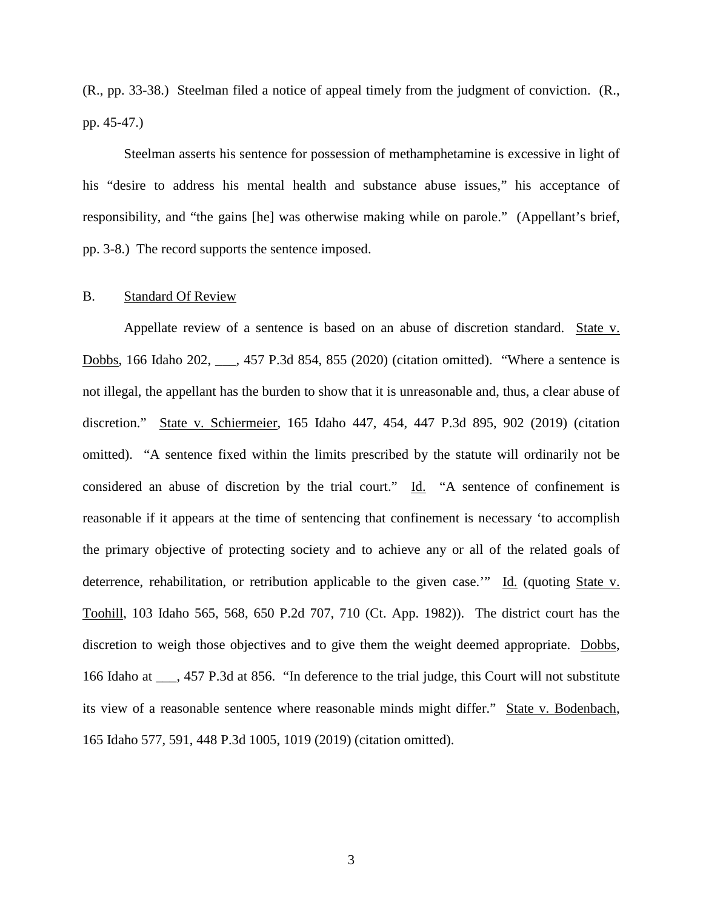(R., pp. 33-38.) Steelman filed a notice of appeal timely from the judgment of conviction. (R., pp. 45-47.)

Steelman asserts his sentence for possession of methamphetamine is excessive in light of his "desire to address his mental health and substance abuse issues," his acceptance of responsibility, and "the gains [he] was otherwise making while on parole." (Appellant's brief, pp. 3-8.) The record supports the sentence imposed.

#### B. Standard Of Review

Appellate review of a sentence is based on an abuse of discretion standard. State v. Dobbs, 166 Idaho 202, \_\_\_, 457 P.3d 854, 855 (2020) (citation omitted). "Where a sentence is not illegal, the appellant has the burden to show that it is unreasonable and, thus, a clear abuse of discretion." State v. Schiermeier, 165 Idaho 447, 454, 447 P.3d 895, 902 (2019) (citation omitted). "A sentence fixed within the limits prescribed by the statute will ordinarily not be considered an abuse of discretion by the trial court." Id. "A sentence of confinement is reasonable if it appears at the time of sentencing that confinement is necessary 'to accomplish the primary objective of protecting society and to achieve any or all of the related goals of deterrence, rehabilitation, or retribution applicable to the given case.'" Id. (quoting State v. Toohill, 103 Idaho 565, 568, 650 P.2d 707, 710 (Ct. App. 1982)). The district court has the discretion to weigh those objectives and to give them the weight deemed appropriate. Dobbs, 166 Idaho at \_\_\_, 457 P.3d at 856. "In deference to the trial judge, this Court will not substitute its view of a reasonable sentence where reasonable minds might differ." State v. Bodenbach, 165 Idaho 577, 591, 448 P.3d 1005, 1019 (2019) (citation omitted).

3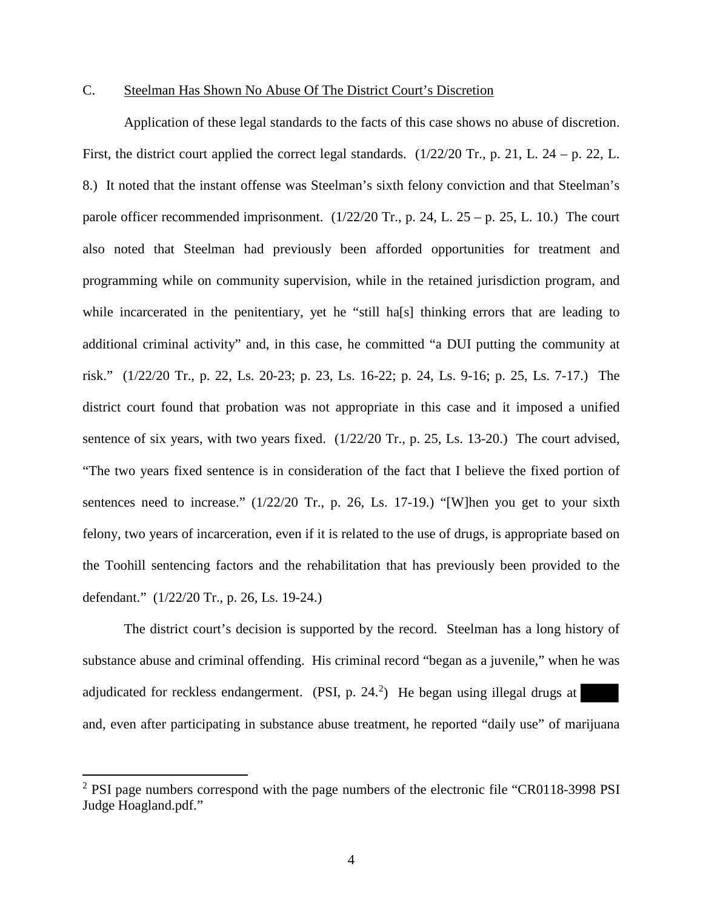#### C. Steelman Has Shown No Abuse Of The District Court's Discretion

Application of these legal standards to the facts of this case shows no abuse of discretion. First, the district court applied the correct legal standards. (1/22/20 Tr., p. 21, L. 24 – p. 22, L. 8.) It noted that the instant offense was Steelman's sixth felony conviction and that Steelman's parole officer recommended imprisonment.  $(1/22/20 \text{ Tr.}, p. 24, L. 25 - p. 25, L. 10.)$  The court also noted that Steelman had previously been afforded opportunities for treatment and programming while on community supervision, while in the retained jurisdiction program, and while incarcerated in the penitentiary, yet he "still ha[s] thinking errors that are leading to additional criminal activity" and, in this case, he committed "a DUI putting the community at risk." (1/22/20 Tr., p. 22, Ls. 20-23; p. 23, Ls. 16-22; p. 24, Ls. 9-16; p. 25, Ls. 7-17.) The district court found that probation was not appropriate in this case and it imposed a unified sentence of six years, with two years fixed. (1/22/20 Tr., p. 25, Ls. 13-20.) The court advised, "The two years fixed sentence is in consideration of the fact that I believe the fixed portion of sentences need to increase."  $(1/22/20 \text{ Tr.}, p. 26, Ls. 17-19)$  "[W]hen you get to your sixth felony, two years of incarceration, even if it is related to the use of drugs, is appropriate based on the Toohill sentencing factors and the rehabilitation that has previously been provided to the defendant." (1/22/20 Tr., p. 26, Ls. 19-24.)

The district court's decision is supported by the record. Steelman has a long history of substance abuse and criminal offending. His criminal record "began as a juvenile," when he was adjudicated for reckless endangerment. (PSI, p.  $24.2$  $24.2$ ) He began using illegal drugs at and, even after participating in substance abuse treatment, he reported "daily use" of marijuana

 $\overline{a}$ 

<span id="page-4-0"></span><sup>&</sup>lt;sup>2</sup> PSI page numbers correspond with the page numbers of the electronic file "CR0118-3998 PSI Judge Hoagland.pdf."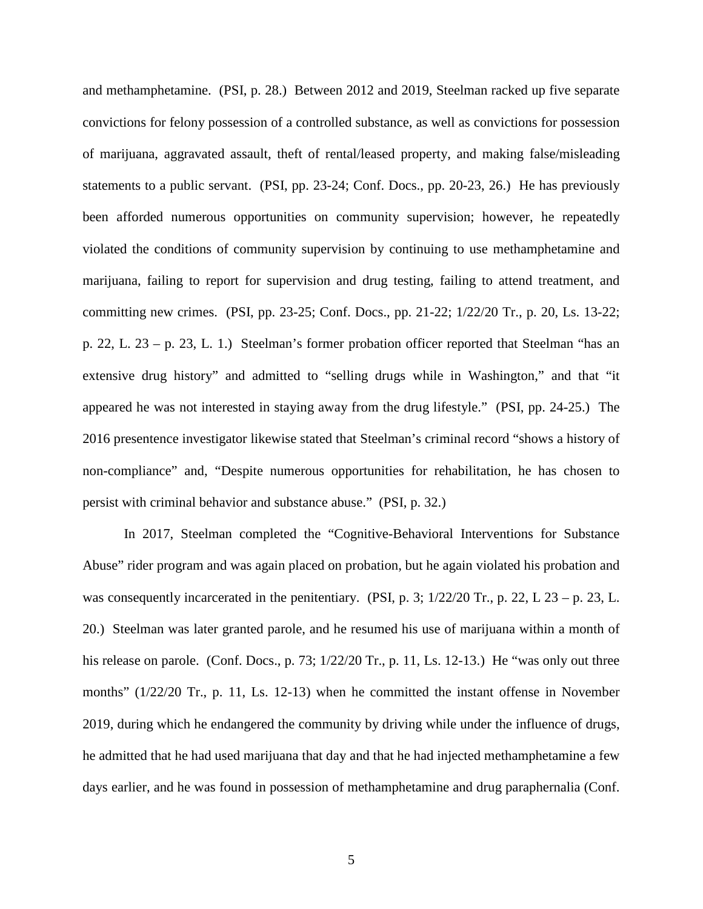and methamphetamine. (PSI, p. 28.) Between 2012 and 2019, Steelman racked up five separate convictions for felony possession of a controlled substance, as well as convictions for possession of marijuana, aggravated assault, theft of rental/leased property, and making false/misleading statements to a public servant. (PSI, pp. 23-24; Conf. Docs., pp. 20-23, 26.) He has previously been afforded numerous opportunities on community supervision; however, he repeatedly violated the conditions of community supervision by continuing to use methamphetamine and marijuana, failing to report for supervision and drug testing, failing to attend treatment, and committing new crimes. (PSI, pp. 23-25; Conf. Docs., pp. 21-22; 1/22/20 Tr., p. 20, Ls. 13-22; p. 22, L. 23 – p. 23, L. 1.) Steelman's former probation officer reported that Steelman "has an extensive drug history" and admitted to "selling drugs while in Washington," and that "it appeared he was not interested in staying away from the drug lifestyle." (PSI, pp. 24-25.) The 2016 presentence investigator likewise stated that Steelman's criminal record "shows a history of non-compliance" and, "Despite numerous opportunities for rehabilitation, he has chosen to persist with criminal behavior and substance abuse." (PSI, p. 32.)

In 2017, Steelman completed the "Cognitive-Behavioral Interventions for Substance Abuse" rider program and was again placed on probation, but he again violated his probation and was consequently incarcerated in the penitentiary. (PSI, p. 3;  $1/22/20$  Tr., p. 22, L 23 – p. 23, L. 20.) Steelman was later granted parole, and he resumed his use of marijuana within a month of his release on parole. (Conf. Docs., p. 73;  $1/22/20$  Tr., p. 11, Ls. 12-13.) He "was only out three months" (1/22/20 Tr., p. 11, Ls. 12-13) when he committed the instant offense in November 2019, during which he endangered the community by driving while under the influence of drugs, he admitted that he had used marijuana that day and that he had injected methamphetamine a few days earlier, and he was found in possession of methamphetamine and drug paraphernalia (Conf.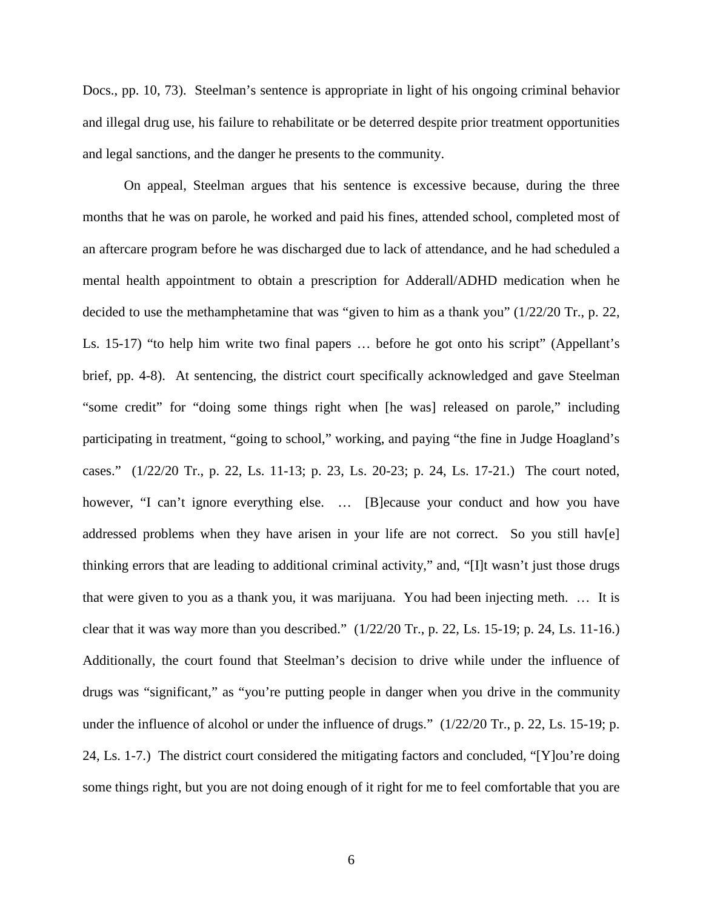Docs., pp. 10, 73). Steelman's sentence is appropriate in light of his ongoing criminal behavior and illegal drug use, his failure to rehabilitate or be deterred despite prior treatment opportunities and legal sanctions, and the danger he presents to the community.

On appeal, Steelman argues that his sentence is excessive because, during the three months that he was on parole, he worked and paid his fines, attended school, completed most of an aftercare program before he was discharged due to lack of attendance, and he had scheduled a mental health appointment to obtain a prescription for Adderall/ADHD medication when he decided to use the methamphetamine that was "given to him as a thank you" (1/22/20 Tr., p. 22, Ls. 15-17) "to help him write two final papers … before he got onto his script" (Appellant's brief, pp. 4-8). At sentencing, the district court specifically acknowledged and gave Steelman "some credit" for "doing some things right when [he was] released on parole," including participating in treatment, "going to school," working, and paying "the fine in Judge Hoagland's cases." (1/22/20 Tr., p. 22, Ls. 11-13; p. 23, Ls. 20-23; p. 24, Ls. 17-21.) The court noted, however, "I can't ignore everything else. ... [B]ecause your conduct and how you have addressed problems when they have arisen in your life are not correct. So you still hav[e] thinking errors that are leading to additional criminal activity," and, "[I]t wasn't just those drugs that were given to you as a thank you, it was marijuana. You had been injecting meth. … It is clear that it was way more than you described." (1/22/20 Tr., p. 22, Ls. 15-19; p. 24, Ls. 11-16.) Additionally, the court found that Steelman's decision to drive while under the influence of drugs was "significant," as "you're putting people in danger when you drive in the community under the influence of alcohol or under the influence of drugs."  $(1/22/20 \text{ Tr}., p. 22, \text{ Ls. } 15-19; p.$ 24, Ls. 1-7.) The district court considered the mitigating factors and concluded, "[Y]ou're doing some things right, but you are not doing enough of it right for me to feel comfortable that you are